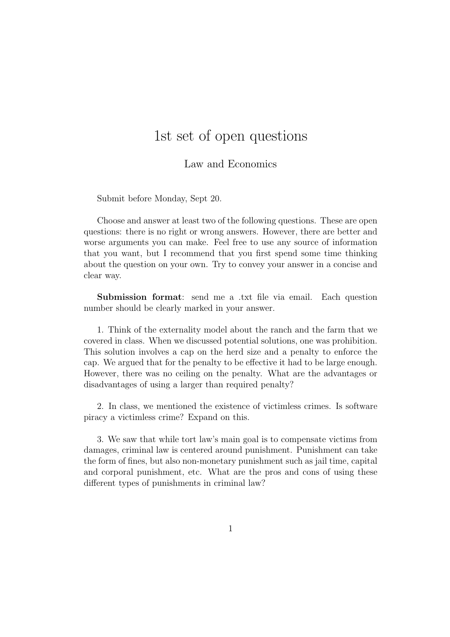## 1st set of open questions

## Law and Economics

Submit before Monday, Sept 20.

Choose and answer at least two of the following questions. These are open questions: there is no right or wrong answers. However, there are better and worse arguments you can make. Feel free to use any source of information that you want, but I recommend that you first spend some time thinking about the question on your own. Try to convey your answer in a concise and clear way.

Submission format: send me a .txt file via email. Each question number should be clearly marked in your answer.

1. Think of the externality model about the ranch and the farm that we covered in class. When we discussed potential solutions, one was prohibition. This solution involves a cap on the herd size and a penalty to enforce the cap. We argued that for the penalty to be effective it had to be large enough. However, there was no ceiling on the penalty. What are the advantages or disadvantages of using a larger than required penalty?

2. In class, we mentioned the existence of victimless crimes. Is software piracy a victimless crime? Expand on this.

3. We saw that while tort law's main goal is to compensate victims from damages, criminal law is centered around punishment. Punishment can take the form of fines, but also non-monetary punishment such as jail time, capital and corporal punishment, etc. What are the pros and cons of using these different types of punishments in criminal law?